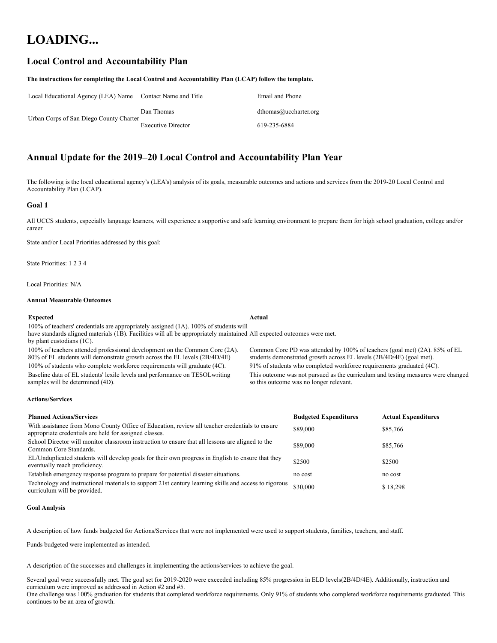# **LOADING...**

### **Local Control and Accountability Plan**

#### **The instructions for completing the Local Control and Accountability Plan (LCAP) follow the template.**

| Local Educational Agency (LEA) Name Contact Name and Title |                           | Email and Phone       |
|------------------------------------------------------------|---------------------------|-----------------------|
|                                                            | Dan Thomas                | dthomas@uccharter.org |
| Urban Corps of San Diego County Charter                    | <b>Executive Director</b> | 619-235-6884          |

### **Annual Update for the 2019–20 Local Control and Accountability Plan Year**

The following is the local educational agency's (LEA's) analysis of its goals, measurable outcomes and actions and services from the 2019-20 Local Control and Accountability Plan (LCAP).

#### **Goal 1**

All UCCS students, especially language learners, will experience a supportive and safe learning environment to prepare them for high school graduation, college and/or career.

State and/or Local Priorities addressed by this goal:

State Priorities: 1 2 3 4

Local Priorities: N/A

#### **Annual Measurable Outcomes**

samples will be determined (4D).

#### **Expected Actual**

100% of teachers' credentials are appropriately assigned (1A). 100% of students will have standards aligned materials (1B). Facilities will all be appropriately maintained All expected outcomes were met. by plant custodians (1C). 100% of teachers attended professional development on the Common Core (2A). 80% of EL students will demonstrate growth across the EL levels (2B/4D/4E) Common Core PD was attended by 100% of teachers (goal met) (2A). 85% of EL students demonstrated growth across EL levels (2B/4D/4E) (goal met). 100% of students who complete workforce requirements will graduate (4C). 91% of students who completed workforce requirements graduated (4C).

Baseline data of EL students' lexile levels and performance on TESOLwriting This outcome was not pursued as the curriculum and testing measures were changed so this outcome was no longer relevant.

#### **Actions/Services**

| <b>Planned Actions/Services</b>                                                                                                                          | <b>Budgeted Expenditures</b> | <b>Actual Expenditures</b> |
|----------------------------------------------------------------------------------------------------------------------------------------------------------|------------------------------|----------------------------|
| With assistance from Mono County Office of Education, review all teacher credentials to ensure<br>appropriate credentials are held for assigned classes. | \$89,000                     | \$85,766                   |
| School Director will monitor classroom instruction to ensure that all lessons are aligned to the<br>Common Core Standards.                               | \$89,000                     | \$85,766                   |
| EL/Unduplicated students will develop goals for their own progress in English to ensure that they<br>eventually reach proficiency.                       | \$2500                       | \$2500                     |
| Establish emergency response program to prepare for potential disaster situations.                                                                       | no cost                      | no cost                    |
| Technology and instructional materials to support 21st century learning skills and access to rigorous<br>curriculum will be provided.                    | \$30,000                     | \$18,298                   |

#### **Goal Analysis**

A description of how funds budgeted for Actions/Services that were not implemented were used to support students, families, teachers, and staff.

Funds budgeted were implemented as intended.

A description of the successes and challenges in implementing the actions/services to achieve the goal.

Several goal were successfully met. The goal set for 2019-2020 were exceeded including 85% progression in ELD levels(2B/4D/4E). Additionally, instruction and curriculum were improved as addressed in Action #2 and #5.

One challenge was 100% graduation for students that completed workforce requirements. Only 91% of students who completed workforce requirements graduated. This continues to be an area of growth.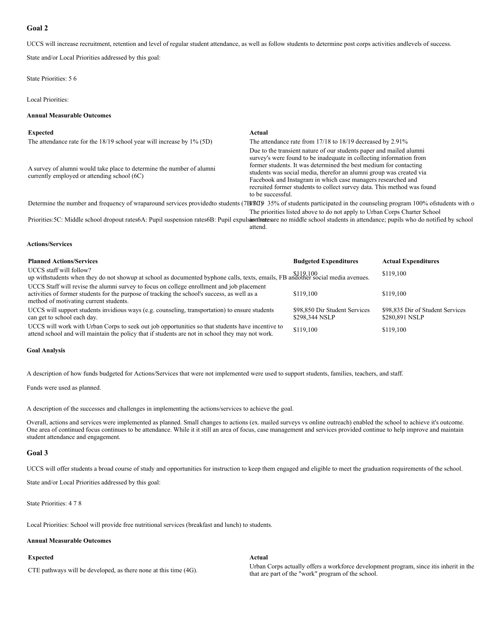#### **Goal 2**

UCCS will increase recruitment, retention and level of regular student attendance, as well as follow students to determine post corps activities andlevels of success.

State and/or Local Priorities addressed by this goal:

State Priorities: 5 6

Local Priorities:

#### **Annual Measurable Outcomes**

| <b>Expected</b>                                                                                                      | Actual                                                                                                                                                                                                                                                                                                                                                                                                                                                 |
|----------------------------------------------------------------------------------------------------------------------|--------------------------------------------------------------------------------------------------------------------------------------------------------------------------------------------------------------------------------------------------------------------------------------------------------------------------------------------------------------------------------------------------------------------------------------------------------|
| The attendance rate for the $18/19$ school year will increase by $1\%$ (5D)                                          | The attendance rate from 17/18 to 18/19 decreased by 2.91%                                                                                                                                                                                                                                                                                                                                                                                             |
| A survey of alumni would take place to determine the number of alumni<br>currently employed or attending school (6C) | Due to the transient nature of our students paper and mailed alumni<br>survey's were found to be inadequate in collecting information from<br>former students. It was determined the best medium for contacting<br>students was social media, therefor an alumni group was created via<br>Facebook and Instagram in which case managers researched and<br>recruited former students to collect survey data. This method was found<br>to be successful. |
|                                                                                                                      | Determine the number and frequency of wraparound services provided to students (7B/8G) 35% of students participated in the counseling program 100% of students with o                                                                                                                                                                                                                                                                                  |
|                                                                                                                      | The priorities listed above to do not apply to Urban Corps Charter School                                                                                                                                                                                                                                                                                                                                                                              |

Priorities: 5C: Middle school dropout rates6A: Pupil suspension rates6B: Pupil expulsionthates are no middle school students in attendance; pupils who do notified by school attend.

#### **Actions/Services**

| <b>Planned Actions/Services</b>                                                                                                                                                                                                     | <b>Budgeted Expenditures</b>                    | <b>Actual Expenditures</b>                         |
|-------------------------------------------------------------------------------------------------------------------------------------------------------------------------------------------------------------------------------------|-------------------------------------------------|----------------------------------------------------|
| UCCS staff will follow?<br>up withstudents when they do not showup at school as documented byphone calls, texts, emails, FB andother social media avenues.                                                                          |                                                 | \$119,100                                          |
| UCCS Staff will revise the alumni survey to focus on college enrollment and job placement<br>activities of former students for the purpose of tracking the school's success, as well as a<br>method of motivating current students. | \$119,100                                       | \$119,100                                          |
| UCCS will support students invidious ways (e.g. counseling, transportation) to ensure students<br>can get to school each day.                                                                                                       | \$98,850 Dir Student Services<br>\$298,344 NSLP | \$98,835 Dir of Student Services<br>\$280,891 NSLP |
| UCCS will work with Urban Corps to seek out job opportunities so that students have incentive to<br>attend school and will maintain the policy that if students are not in school they may not work.                                | \$119,100                                       | \$119,100                                          |

#### **Goal Analysis**

A description of how funds budgeted for Actions/Services that were not implemented were used to support students, families, teachers, and staff.

Funds were used as planned.

A description of the successes and challenges in implementing the actions/services to achieve the goal.

Overall, actions and services were implemented as planned. Small changes to actions (ex. mailed surveys vs online outreach) enabled the school to achieve it's outcome. One area of continued focus continues to be attendance. While it it still an area of focus, case management and services provided continue to help improve and maintain student attendance and engagement.

#### **Goal 3**

UCCS will offer students a broad course of study and opportunities for instruction to keep them engaged and eligible to meet the graduation requirements of the school.

State and/or Local Priorities addressed by this goal:

State Priorities: 4 7 8

Local Priorities: School will provide free nutritional services (breakfast and lunch) to students.

#### **Annual Measurable Outcomes**

#### **Expected Actual**

CTE pathways will be developed, as there none at this time (4G). Urban Corps actually offers a workforce development program, since itis inherit in the that are part of the "work" program of the school.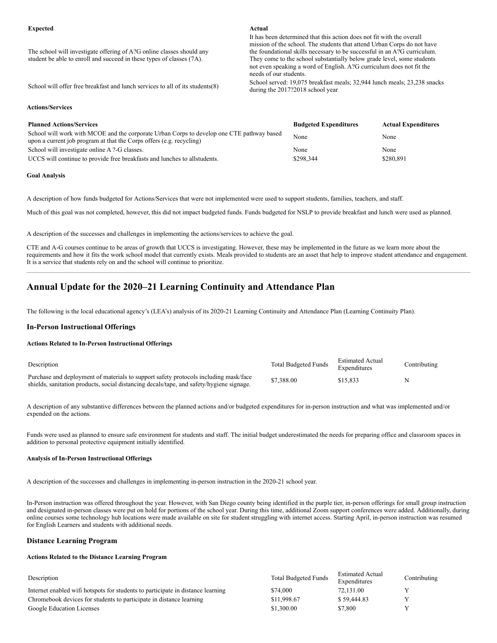The school will investigate offering of A?G online classes should any student be able to enroll and succeed in these types of classes (7A).

It has been determined that this action does not fit with the overall mission of the school. The students that attend Urban Corps do not have the foundational skills necessary to be successful in an A?G curriculum. They come to the school substantially below grade level, some students not even speaking a word of English. A?G curriculum does not fit the needs of our students.

School will offer free breakfast and lunch services to all of its students(8) School served: 19,075 breakfast meals; 32,944 lunch meals; 23,238 snacks during the 2017?2018 school year

#### **Actions/Services**

| <b>Planned Actions/Services</b>                                                                                                                                   | <b>Budgeted Expenditures</b> | <b>Actual Expenditures</b> |
|-------------------------------------------------------------------------------------------------------------------------------------------------------------------|------------------------------|----------------------------|
| School will work with MCOE and the corporate Urban Corps to develop one CTE pathway based<br>upon a current job program at that the Corps offers (e.g. recycling) | None                         | None                       |
| School will investigate online A ?-G classes.                                                                                                                     | None                         | None                       |
| UCCS will continue to provide free breakfasts and lunches to all students.                                                                                        | \$298,344                    | \$280,891                  |

#### **Goal Analysis**

A description of how funds budgeted for Actions/Services that were not implemented were used to support students, families, teachers, and staff.

Much of this goal was not completed, however, this did not impact budgeted funds. Funds budgeted for NSLP to provide breakfast and lunch were used as planned.

A description of the successes and challenges in implementing the actions/services to achieve the goal.

CTE and A-G courses continue to be areas of growth that UCCS is investigating. However, these may be implemented in the future as we learn more about the requirements and how it fits the work school model that currently exists. Meals provided to students are an asset that help to improve student attendance and engagement. It is a service that students rely on and the school will continue to prioritize.

### **Annual Update for the 2020–21 Learning Continuity and Attendance Plan**

The following is the local educational agency's (LEA's) analysis of its 2020-21 Learning Continuity and Attendance Plan (Learning Continuity Plan).

#### **In-Person Instructional Offerings**

#### **Actions Related to In-Person Instructional Offerings**

| Description                                                                                                                                                                      | <b>Total Budgeted Funds</b> | <b>Estimated Actual</b><br>Expenditures | Contributing |
|----------------------------------------------------------------------------------------------------------------------------------------------------------------------------------|-----------------------------|-----------------------------------------|--------------|
| Purchase and deployment of materials to support safety protocols including mask/face<br>shields, sanitation products, social distancing decals/tape, and safety/hygiene signage. | \$7,388.00                  | \$15,833                                |              |

A description of any substantive differences between the planned actions and/or budgeted expenditures for in-person instruction and what was implemented and/or expended on the actions.

Funds were used as planned to ensure safe environment for students and staff. The initial budget underestimated the needs for preparing office and classroom spaces in addition to personal protective equipment initially identified.

#### **Analysis of In-Person Instructional Offerings**

A description of the successes and challenges in implementing in-person instruction in the 2020-21 school year.

In-Person instruction was offered throughout the year. However, with San Diego county being identified in the purple tier, in-person offerings for small group instruction and designated in-person classes were put on hold for portions of the school year. During this time, additional Zoom support conferences were added. Additionally, during online courses some technology hub locations were made available on site for student struggling with internet access. Starting April, in-person instruction was resumed for English Learners and students with additional needs.

#### **Distance Learning Program**

#### **Actions Related to the Distance Learning Program**

| Description                                                                     | <b>Total Budgeted Funds</b> | <b>Estimated Actual</b><br>Expenditures | Contributing |
|---------------------------------------------------------------------------------|-----------------------------|-----------------------------------------|--------------|
| Internet enabled wifi hotspots for students to participate in distance learning | \$74,000                    | 72,131.00                               |              |
| Chromebook devices for students to participate in distance learning             | \$11,998.67                 | \$59,444.83                             |              |
| Google Education Licenses                                                       | \$1,300.00                  | \$7,800                                 |              |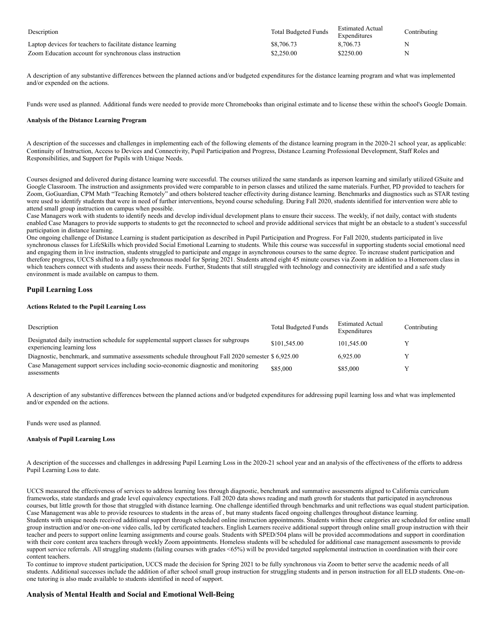| Description                                                 | <b>Total Budgeted Funds</b> | <b>Estimated Actual</b><br>Expenditures | Contributing |
|-------------------------------------------------------------|-----------------------------|-----------------------------------------|--------------|
| Laptop devices for teachers to facilitate distance learning | \$8,706.73                  | 8,706.73                                |              |
| Zoom Education account for synchronous class instruction    | \$2,250.00                  | \$2250.00                               |              |

A description of any substantive differences between the planned actions and/or budgeted expenditures for the distance learning program and what was implemented and/or expended on the actions.

Funds were used as planned. Additional funds were needed to provide more Chromebooks than original estimate and to license these within the school's Google Domain.

#### **Analysis of the Distance Learning Program**

A description of the successes and challenges in implementing each of the following elements of the distance learning program in the 2020-21 school year, as applicable: Continuity of Instruction, Access to Devices and Connectivity, Pupil Participation and Progress, Distance Learning Professional Development, Staff Roles and Responsibilities, and Support for Pupils with Unique Needs.

Courses designed and delivered during distance learning were successful. The courses utilized the same standards as inperson learning and similarly utilized GSuite and Google Classroom. The instruction and assignments provided were comparable to in person classes and utilized the same materials. Further, PD provided to teachers for Zoom, GoGuardian, CPM Math "Teaching Remotely" and others bolstered teacher effectivity during distance learning. Benchmarks and diagnostics such as STAR testing were used to identify students that were in need of further interventions, beyond course scheduling. During Fall 2020, students identified for intervention were able to attend small group instruction on campus when possible.

Case Managers work with students to identify needs and develop individual development plans to ensure their success. The weekly, if not daily, contact with students enabled Case Managers to provide supports to students to get the reconnected to school and provide additional services that might be an obstacle to a student's successful participation in distance learning.

One ongoing challenge of Distance Learning is student participation as described in Pupil Participation and Progress. For Fall 2020, students participated in live synchronous classes for LifeSkills which provided Social Emotional Learning to students. While this course was successful in supporting students social emotional need and engaging them in live instruction, students struggled to participate and engage in asynchronous courses to the same degree. To increase student participation and therefore progress, UCCS shifted to a fully synchronous model for Spring 2021. Students attend eight 45 minute courses via Zoom in addition to a Homeroom class in which teachers connect with students and assess their needs. Further, Students that still struggled with technology and connectivity are identified and a safe study environment is made available on campus to them.

#### **Pupil Learning Loss**

#### **Actions Related to the Pupil Learning Loss**

| Description                                                                                                        | <b>Total Budgeted Funds</b> | <b>Estimated Actual</b><br>Expenditures | Contributing |
|--------------------------------------------------------------------------------------------------------------------|-----------------------------|-----------------------------------------|--------------|
| Designated daily instruction schedule for supplemental support classes for subgroups<br>experiencing learning loss | \$101,545.00                | 101.545.00                              |              |
| Diagnostic, benchmark, and summative assessments schedule throughout Fall 2020 semester \$6,925.00                 |                             | 6,925.00                                |              |
| Case Management support services including socio-economic diagnostic and monitoring<br>assessments                 | \$85,000                    | \$85,000                                |              |

A description of any substantive differences between the planned actions and/or budgeted expenditures for addressing pupil learning loss and what was implemented and/or expended on the actions.

Funds were used as planned.

#### **Analysis of Pupil Learning Loss**

A description of the successes and challenges in addressing Pupil Learning Loss in the 2020-21 school year and an analysis of the effectiveness of the efforts to address Pupil Learning Loss to date.

UCCS measured the effectiveness of services to address learning loss through diagnostic, benchmark and summative assessments aligned to California curriculum frameworks, state standards and grade level equivalency expectations. Fall 2020 data shows reading and math growth for students that participated in asynchronous courses, but little growth for those that struggled with distance learning. One challenge identified through benchmarks and unit reflections was equal student participation. Case Management was able to provide resources to students in the areas of , but many students faced ongoing challenges throughout distance learning. Students with unique needs received additional support through scheduled online instruction appointments. Students within these categories are scheduled for online small group instruction and/or one-on-one video calls, led by certificated teachers. English Learners receive additional support through online small group instruction with their teacher and peers to support online learning assignments and course goals. Students with SPED/504 plans will be provided accommodations and support in coordination with their core content area teachers through weekly Zoom appointments. Homeless students will be scheduled for additional case management assessments to provide support service referrals. All struggling students (failing courses with grades <65%) will be provided targeted supplemental instruction in coordination with their core content teachers.

To continue to improve student participation, UCCS made the decision for Spring 2021 to be fully synchronous via Zoom to better serve the academic needs of all students. Additional successes include the addition of after school small group instruction for struggling students and in person instruction for all ELD students. One-onone tutoring is also made available to students identified in need of support.

#### **Analysis of Mental Health and Social and Emotional Well-Being**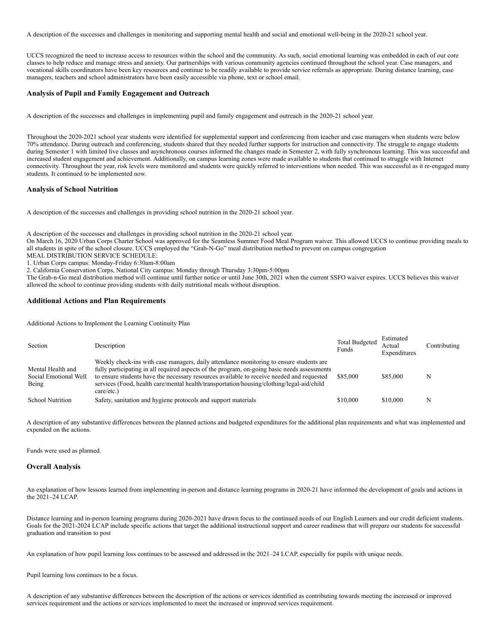A description of the successes and challenges in monitoring and supporting mental health and social and emotional well-being in the 2020-21 school year.

UCCS recognized the need to increase access to resources within the school and the community. As such, social emotional learning was embedded in each of our core classes to help reduce and manage stress and anxiety. Our partnerships with various community agencies continued throughout the school year. Case managers, and vocational skills coordinators have been key resources and continue to be readily available to provide service referrals as appropriate. During distance learning, case managers, teachers and school administrators have been easily accessible via phone, text or school email.

#### **Analysis of Pupil and Family Engagement and Outreach**

A description of the successes and challenges in implementing pupil and family engagement and outreach in the 2020-21 school year.

Throughout the 2020-2021 school year students were identified for supplemental support and conferencing from teacher and case managers when students were below 70% attendance. During outreach and conferencing, students shared that they needed further supports for instruction and connectivity. The struggle to engage students during Semester 1 with limited live classes and asynchronous courses informed the changes made in Semester 2, with fully synchronous learning. This was successful and increased student engagement and achievement. Additionally, on campus learning zones were made available to students that continued to struggle with Internet connectivity. Throughout the year, risk levels were monitored and students were quickly referred to interventions when needed. This was successful as it re-engaged many students. It continued to be implemented now.

#### **Analysis of School Nutrition**

A description of the successes and challenges in providing school nutrition in the 2020-21 school year.

A description of the successes and challenges in providing school nutrition in the 2020-21 school year.

On March 16, 2020 Urban Corps Charter School was approved for the Seamless Summer Food Meal Program waiver. This allowed UCCS to continue providing meals to all students in spite of the school closure. UCCS employed the "Grab-N-Go" meal distribution method to prevent on campus congregation

MEAL DISTRIBUTION SERVICE SCHEDULE:

1. Urban Corps campus: Monday-Friday 6:30am-8:00am

2. California Conservation Corps, National City campus: Monday through Thursday 3:30pm-5:00pm

The Grab-n-Go meal distribution method will continue until further notice or until June 30th, 2021 when the current SSFO waiver expires. UCCS believes this waiver allowed the school to continue providing students with daily nutritional meals without disruption.

#### **Additional Actions and Plan Requirements**

Additional Actions to Implement the Learning Continuity Plan

| Section                                             | Description                                                                                                                                                                                                                                                                                                                                                                                     | <b>Total Budgeted</b><br>Funds | Estimated<br>Actual<br>Expenditures | Contributing |
|-----------------------------------------------------|-------------------------------------------------------------------------------------------------------------------------------------------------------------------------------------------------------------------------------------------------------------------------------------------------------------------------------------------------------------------------------------------------|--------------------------------|-------------------------------------|--------------|
| Mental Health and<br>Social Emotional Well<br>Being | Weekly check-ins with case managers, daily attendance monitoring to ensure students are<br>fully participating in all required aspects of the program, on-going basic needs assessments<br>to ensure students have the necessary resources available to receive needed and requested<br>services (Food, health care/mental health/transportation/housing/clothing/legal-aid/child<br>care/etc.) | \$85,000                       | \$85,000                            |              |
| <b>School Nutrition</b>                             | Safety, sanitation and hygiene protocols and support materials                                                                                                                                                                                                                                                                                                                                  | \$10,000                       | \$10,000                            |              |

A description of any substantive differences between the planned actions and budgeted expenditures for the additional plan requirements and what was implemented and expended on the actions.

Funds were used as planned.

#### **Overall Analysis**

An explanation of how lessons learned from implementing in-person and distance learning programs in 2020-21 have informed the development of goals and actions in the 2021–24 LCAP.

Distance learning and in-person learning programs during 2020-2021 have drawn focus to the continued needs of our English Learners and our credit deficient students. Goals for the 2021-2024 LCAP include specific actions that target the additional instructional support and career readiness that will prepare our students for successful graduation and transition to post

An explanation of how pupil learning loss continues to be assessed and addressed in the 2021–24 LCAP, especially for pupils with unique needs.

Pupil learning loss continues to be a focus.

A description of any substantive differences between the description of the actions or services identified as contributing towards meeting the increased or improved services requirement and the actions or services implemented to meet the increased or improved services requirement.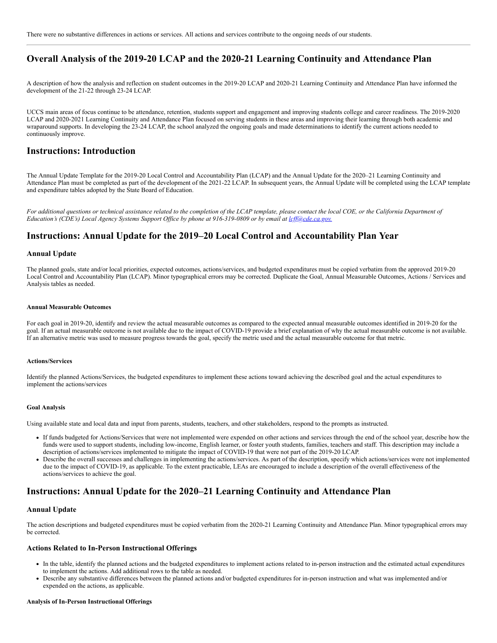### **Overall Analysis of the 2019-20 LCAP and the 2020-21 Learning Continuity and Attendance Plan**

A description of how the analysis and reflection on student outcomes in the 2019-20 LCAP and 2020-21 Learning Continuity and Attendance Plan have informed the development of the 21-22 through 23-24 LCAP.

UCCS main areas of focus continue to be attendance, retention, students support and engagement and improving students college and career readiness. The 2019-2020 LCAP and 2020-2021 Learning Continuity and Attendance Plan focused on serving students in these areas and improving their learning through both academic and wraparound supports. In developing the 23-24 LCAP, the school analyzed the ongoing goals and made determinations to identify the current actions needed to continuously improve.

#### **Instructions: Introduction**

The Annual Update Template for the 2019-20 Local Control and Accountability Plan (LCAP) and the Annual Update for the 2020–21 Learning Continuity and Attendance Plan must be completed as part of the development of the 2021-22 LCAP. In subsequent years, the Annual Update will be completed using the LCAP template and expenditure tables adopted by the State Board of Education.

*For additional questions or technical assistance related to the completion of the LCAP template, please contact the local COE, or the California Department of* Education's (CDE's) Local Agency Systems Support Office by phone at 916-319-0809 or by email at *[lcff@cde.ca.gov.](mailto:lcff@cde.ca.gov)* 

### **Instructions: Annual Update for the 2019–20 Local Control and Accountability Plan Year**

#### **Annual Update**

The planned goals, state and/or local priorities, expected outcomes, actions/services, and budgeted expenditures must be copied verbatim from the approved 2019-20 Local Control and Accountability Plan (LCAP). Minor typographical errors may be corrected. Duplicate the Goal, Annual Measurable Outcomes, Actions / Services and Analysis tables as needed.

#### **Annual Measurable Outcomes**

For each goal in 2019-20, identify and review the actual measurable outcomes as compared to the expected annual measurable outcomes identified in 2019-20 for the goal. If an actual measurable outcome is not available due to the impact of COVID-19 provide a brief explanation of why the actual measurable outcome is not available. If an alternative metric was used to measure progress towards the goal, specify the metric used and the actual measurable outcome for that metric.

#### **Actions/Services**

Identify the planned Actions/Services, the budgeted expenditures to implement these actions toward achieving the described goal and the actual expenditures to implement the actions/services

#### **Goal Analysis**

Using available state and local data and input from parents, students, teachers, and other stakeholders, respond to the prompts as instructed.

- If funds budgeted for Actions/Services that were not implemented were expended on other actions and services through the end of the school year, describe how the funds were used to support students, including low-income, English learner, or foster youth students, families, teachers and staff. This description may include a description of actions/services implemented to mitigate the impact of COVID-19 that were not part of the 2019-20 LCAP.
- Describe the overall successes and challenges in implementing the actions/services. As part of the description, specify which actions/services were not implemented due to the impact of COVID-19, as applicable. To the extent practicable, LEAs are encouraged to include a description of the overall effectiveness of the actions/services to achieve the goal.

### **Instructions: Annual Update for the 2020–21 Learning Continuity and Attendance Plan**

#### **Annual Update**

The action descriptions and budgeted expenditures must be copied verbatim from the 2020-21 Learning Continuity and Attendance Plan. Minor typographical errors may be corrected.

#### **Actions Related to In-Person Instructional Offerings**

- In the table, identify the planned actions and the budgeted expenditures to implement actions related to in-person instruction and the estimated actual expenditures to implement the actions. Add additional rows to the table as needed.
- Describe any substantive differences between the planned actions and/or budgeted expenditures for in-person instruction and what was implemented and/or expended on the actions, as applicable.

#### **Analysis of In-Person Instructional Offerings**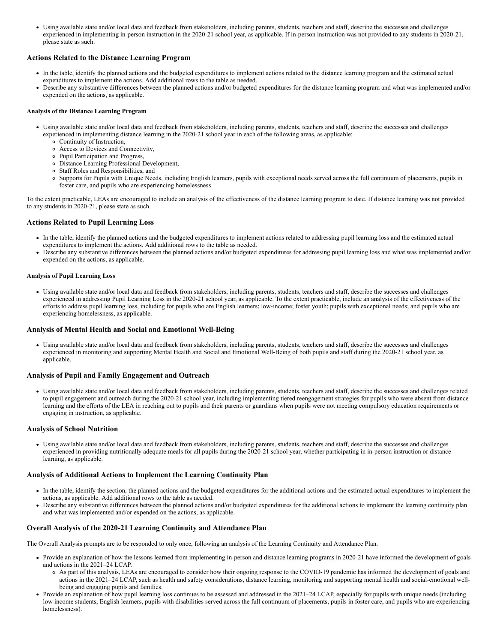Using available state and/or local data and feedback from stakeholders, including parents, students, teachers and staff, describe the successes and challenges experienced in implementing in-person instruction in the 2020-21 school year, as applicable. If in-person instruction was not provided to any students in 2020-21, please state as such.

#### **Actions Related to the Distance Learning Program**

- In the table, identify the planned actions and the budgeted expenditures to implement actions related to the distance learning program and the estimated actual expenditures to implement the actions. Add additional rows to the table as needed.
- Describe any substantive differences between the planned actions and/or budgeted expenditures for the distance learning program and what was implemented and/or expended on the actions, as applicable.

#### **Analysis of the Distance Learning Program**

- Using available state and/or local data and feedback from stakeholders, including parents, students, teachers and staff, describe the successes and challenges experienced in implementing distance learning in the 2020-21 school year in each of the following areas, as applicable:
	- Continuity of Instruction,
	- Access to Devices and Connectivity,
	- Pupil Participation and Progress,
	- Distance Learning Professional Development,
	- Staff Roles and Responsibilities, and
	- Supports for Pupils with Unique Needs, including English learners, pupils with exceptional needs served across the full continuum of placements, pupils in foster care, and pupils who are experiencing homelessness

To the extent practicable, LEAs are encouraged to include an analysis of the effectiveness of the distance learning program to date. If distance learning was not provided to any students in 2020-21, please state as such.

#### **Actions Related to Pupil Learning Loss**

- In the table, identify the planned actions and the budgeted expenditures to implement actions related to addressing pupil learning loss and the estimated actual expenditures to implement the actions. Add additional rows to the table as needed.
- Describe any substantive differences between the planned actions and/or budgeted expenditures for addressing pupil learning loss and what was implemented and/or expended on the actions, as applicable.

#### **Analysis of Pupil Learning Loss**

Using available state and/or local data and feedback from stakeholders, including parents, students, teachers and staff, describe the successes and challenges experienced in addressing Pupil Learning Loss in the 2020-21 school year, as applicable. To the extent practicable, include an analysis of the effectiveness of the efforts to address pupil learning loss, including for pupils who are English learners; low-income; foster youth; pupils with exceptional needs; and pupils who are experiencing homelessness, as applicable.

#### **Analysis of Mental Health and Social and Emotional Well-Being**

Using available state and/or local data and feedback from stakeholders, including parents, students, teachers and staff, describe the successes and challenges experienced in monitoring and supporting Mental Health and Social and Emotional Well-Being of both pupils and staff during the 2020-21 school year, as applicable.

#### **Analysis of Pupil and Family Engagement and Outreach**

Using available state and/or local data and feedback from stakeholders, including parents, students, teachers and staff, describe the successes and challenges related to pupil engagement and outreach during the 2020-21 school year, including implementing tiered reengagement strategies for pupils who were absent from distance learning and the efforts of the LEA in reaching out to pupils and their parents or guardians when pupils were not meeting compulsory education requirements or engaging in instruction, as applicable.

#### **Analysis of School Nutrition**

Using available state and/or local data and feedback from stakeholders, including parents, students, teachers and staff, describe the successes and challenges experienced in providing nutritionally adequate meals for all pupils during the 2020-21 school year, whether participating in in-person instruction or distance learning, as applicable.

#### **Analysis of Additional Actions to Implement the Learning Continuity Plan**

- In the table, identify the section, the planned actions and the budgeted expenditures for the additional actions and the estimated actual expenditures to implement the actions, as applicable. Add additional rows to the table as needed.
- Describe any substantive differences between the planned actions and/or budgeted expenditures for the additional actions to implement the learning continuity plan and what was implemented and/or expended on the actions, as applicable.

#### **Overall Analysis of the 2020-21 Learning Continuity and Attendance Plan**

The Overall Analysis prompts are to be responded to only once, following an analysis of the Learning Continuity and Attendance Plan.

- Provide an explanation of how the lessons learned from implementing in-person and distance learning programs in 2020-21 have informed the development of goals and actions in the 2021–24 LCAP.
	- As part of this analysis, LEAs are encouraged to consider how their ongoing response to the COVID-19 pandemic has informed the development of goals and actions in the 2021–24 LCAP, such as health and safety considerations, distance learning, monitoring and supporting mental health and social-emotional wellbeing and engaging pupils and families.
- Provide an explanation of how pupil learning loss continues to be assessed and addressed in the 2021–24 LCAP, especially for pupils with unique needs (including low income students, English learners, pupils with disabilities served across the full continuum of placements, pupils in foster care, and pupils who are experiencing homelessness).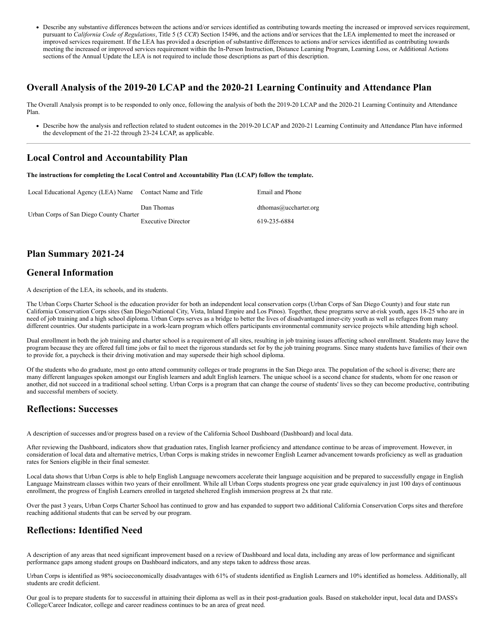Describe any substantive differences between the actions and/or services identified as contributing towards meeting the increased or improved services requirement, pursuant to *California Code of Regulations*, Title 5 (5 *CCR*) Section 15496, and the actions and/or services that the LEA implemented to meet the increased or improved services requirement. If the LEA has provided a description of substantive differences to actions and/or services identified as contributing towards meeting the increased or improved services requirement within the In-Person Instruction, Distance Learning Program, Learning Loss, or Additional Actions sections of the Annual Update the LEA is not required to include those descriptions as part of this description.

### **Overall Analysis of the 2019-20 LCAP and the 2020-21 Learning Continuity and Attendance Plan**

The Overall Analysis prompt is to be responded to only once, following the analysis of both the 2019-20 LCAP and the 2020-21 Learning Continuity and Attendance Plan.

Describe how the analysis and reflection related to student outcomes in the 2019-20 LCAP and 2020-21 Learning Continuity and Attendance Plan have informed the development of the 21-22 through 23-24 LCAP, as applicable.

### **Local Control and Accountability Plan**

**The instructions for completing the Local Control and Accountability Plan (LCAP) follow the template.**

| Local Educational Agency (LEA) Name Contact Name and Title |                           | Email and Phone       |
|------------------------------------------------------------|---------------------------|-----------------------|
|                                                            | Dan Thomas                | dthomas@uccharter.org |
| Urban Corps of San Diego County Charter                    | <b>Executive Director</b> | 619-235-6884          |

### **Plan Summary 2021-24**

### **General Information**

A description of the LEA, its schools, and its students.

The Urban Corps Charter School is the education provider for both an independent local conservation corps (Urban Corps of San Diego County) and four state run California Conservation Corps sites (San Diego/National City, Vista, Inland Empire and Los Pinos). Together, these programs serve at-risk youth, ages 18-25 who are in need of job training and a high school diploma. Urban Corps serves as a bridge to better the lives of disadvantaged inner-city youth as well as refugees from many different countries. Our students participate in a work-learn program which offers participants environmental community service projects while attending high school.

Dual enrollment in both the job training and charter school is a requirement of all sites, resulting in job training issues affecting school enrollment. Students may leave the program because they are offered full time jobs or fail to meet the rigorous standards set for by the job training programs. Since many students have families of their own to provide for, a paycheck is their driving motivation and may supersede their high school diploma.

Of the students who do graduate, most go onto attend community colleges or trade programs in the San Diego area. The population of the school is diverse; there are many different languages spoken amongst our English learners and adult English learners. The unique school is a second chance for students, whom for one reason or another, did not succeed in a traditional school setting. Urban Corps is a program that can change the course of students' lives so they can become productive, contributing and successful members of society.

### **Reflections: Successes**

A description of successes and/or progress based on a review of the California School Dashboard (Dashboard) and local data.

After reviewing the Dashboard, indicators show that graduation rates, English learner proficiency and attendance continue to be areas of improvement. However, in consideration of local data and alternative metrics, Urban Corps is making strides in newcomer English Learner advancement towards proficiency as well as graduation rates for Seniors eligible in their final semester.

Local data shows that Urban Corps is able to help English Language newcomers accelerate their language acquisition and be prepared to successfully engage in English Language Mainstream classes within two years of their enrollment. While all Urban Corps students progress one year grade equivalency in just 100 days of continuous enrollment, the progress of English Learners enrolled in targeted sheltered English immersion progress at 2x that rate.

Over the past 3 years, Urban Corps Charter School has continued to grow and has expanded to support two additional California Conservation Corps sites and therefore reaching additional students that can be served by our program.

### **Reflections: Identified Need**

A description of any areas that need significant improvement based on a review of Dashboard and local data, including any areas of low performance and significant performance gaps among student groups on Dashboard indicators, and any steps taken to address those areas.

Urban Corps is identified as 98% socioeconomically disadvantages with 61% of students identified as English Learners and 10% identified as homeless. Additionally, all students are credit deficient.

Our goal is to prepare students for to successful in attaining their diploma as well as in their post-graduation goals. Based on stakeholder input, local data and DASS's College/Career Indicator, college and career readiness continues to be an area of great need.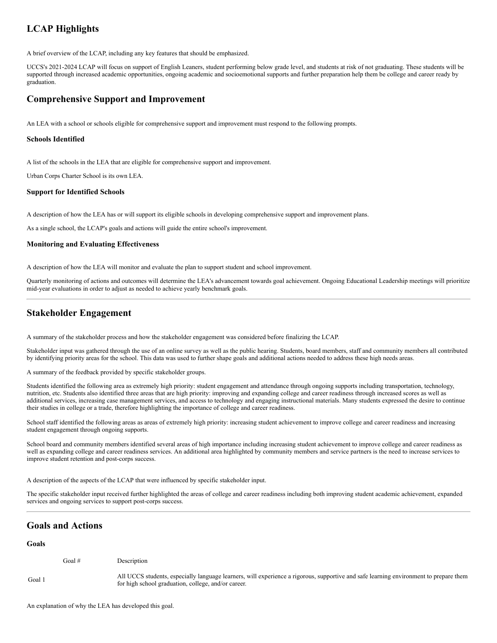## **LCAP Highlights**

A brief overview of the LCAP, including any key features that should be emphasized.

UCCS's 2021-2024 LCAP will focus on support of English Leaners, student performing below grade level, and students at risk of not graduating. These students will be supported through increased academic opportunities, ongoing academic and socioemotional supports and further preparation help them be college and career ready by graduation.

### **Comprehensive Support and Improvement**

An LEA with a school or schools eligible for comprehensive support and improvement must respond to the following prompts.

#### **Schools Identified**

A list of the schools in the LEA that are eligible for comprehensive support and improvement.

Urban Corps Charter School is its own LEA.

#### **Support for Identified Schools**

A description of how the LEA has or will support its eligible schools in developing comprehensive support and improvement plans.

As a single school, the LCAP's goals and actions will guide the entire school's improvement.

#### **Monitoring and Evaluating Effectiveness**

A description of how the LEA will monitor and evaluate the plan to support student and school improvement.

Quarterly monitoring of actions and outcomes will determine the LEA's advancement towards goal achievement. Ongoing Educational Leadership meetings will prioritize mid-year evaluations in order to adjust as needed to achieve yearly benchmark goals.

### **Stakeholder Engagement**

A summary of the stakeholder process and how the stakeholder engagement was considered before finalizing the LCAP.

Stakeholder input was gathered through the use of an online survey as well as the public hearing. Students, board members, staff and community members all contributed by identifying priority areas for the school. This data was used to further shape goals and additional actions needed to address these high needs areas.

A summary of the feedback provided by specific stakeholder groups.

Students identified the following area as extremely high priority: student engagement and attendance through ongoing supports including transportation, technology, nutrition, etc. Students also identified three areas that are high priority: improving and expanding college and career readiness through increased scores as well as additional services, increasing case management services, and access to technology and engaging instructional materials. Many students expressed the desire to continue their studies in college or a trade, therefore highlighting the importance of college and career readiness.

School staff identified the following areas as areas of extremely high priority: increasing student achievement to improve college and career readiness and increasing student engagement through ongoing supports.

School board and community members identified several areas of high importance including increasing student achievement to improve college and career readiness as well as expanding college and career readiness services. An additional area highlighted by community members and service partners is the need to increase services to improve student retention and post-corps success.

A description of the aspects of the LCAP that were influenced by specific stakeholder input.

The specific stakeholder input received further highlighted the areas of college and career readiness including both improving student academic achievement, expanded services and ongoing services to support post-corps success.

### **Goals and Actions**

#### **Goals**

|        | Goal $#$ | Description                                                                                                                                                                                  |
|--------|----------|----------------------------------------------------------------------------------------------------------------------------------------------------------------------------------------------|
| Goal 1 |          | All UCCS students, especially language learners, will experience a rigorous, supportive and safe learning environment to prepare them<br>for high school graduation, college, and/or career. |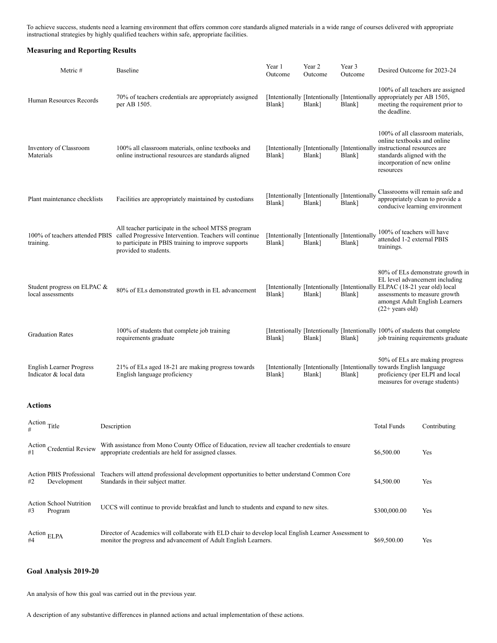To achieve success, students need a learning environment that offers common core standards aligned materials in a wide range of courses delivered with appropriate instructional strategies by highly qualified teachers within safe, appropriate facilities.

### **Measuring and Reporting Results**

| Metric #                                                                                                                                                                                      |                                                                                                                                    | <b>Baseline</b>                                                                                                                                                                               | Year 1<br>Outcome | Year 2<br>Outcome                                      | Year 3<br>Outcome | Desired Outcome for 2023-24                                                                                                                                                                                           |                                    |
|-----------------------------------------------------------------------------------------------------------------------------------------------------------------------------------------------|------------------------------------------------------------------------------------------------------------------------------------|-----------------------------------------------------------------------------------------------------------------------------------------------------------------------------------------------|-------------------|--------------------------------------------------------|-------------------|-----------------------------------------------------------------------------------------------------------------------------------------------------------------------------------------------------------------------|------------------------------------|
| Human Resources Records                                                                                                                                                                       |                                                                                                                                    | 70% of teachers credentials are appropriately assigned<br>per AB 1505.                                                                                                                        | Blank]            | Blank]                                                 | Blank]            | [Intentionally [Intentionally [Intentionally appropriately per AB 1505,<br>meeting the requirement prior to<br>the deadline.                                                                                          | 100% of all teachers are assigned  |
| Inventory of Classroom<br>Materials                                                                                                                                                           |                                                                                                                                    | 100% all classroom materials, online textbooks and<br>online instructional resources are standards aligned                                                                                    | Blank]            | Blank]                                                 | Blank]            | 100% of all classroom materials,<br>online textbooks and online<br>[Intentionally [Intentionally [Intentionally instructional resources are<br>standards aligned with the<br>incorporation of new online<br>resources |                                    |
| Plant maintenance checklists                                                                                                                                                                  |                                                                                                                                    | Facilities are appropriately maintained by custodians                                                                                                                                         | Blank]            | [Intentionally [Intentionally [Intentionally<br>Blank] | Blank]            | Classrooms will remain safe and<br>appropriately clean to provide a<br>conducive learning environment                                                                                                                 |                                    |
| 100% of teachers attended PBIS<br>training.                                                                                                                                                   |                                                                                                                                    | All teacher participate in the school MTSS program<br>called Progressive Intervention. Teachers will continue<br>to participate in PBIS training to improve supports<br>provided to students. | Blank]            | [Intentionally [Intentionally [Intentionally<br>Blank] | Blank]            | 100% of teachers will have<br>attended 1-2 external PBIS<br>trainings.                                                                                                                                                |                                    |
| Student progress on ELPAC &<br>local assessments                                                                                                                                              |                                                                                                                                    | 80% of ELs demonstrated growth in EL advancement                                                                                                                                              | Blank]            | Blank]                                                 | Blank]            | EL level advancement including<br>[Intentionally [Intentionally [Intentionally ELPAC (18-21 year old) local<br>assessments to measure growth<br>amongst Adult English Learners<br>$(22+)$ years old)                  | 80% of ELs demonstrate growth in   |
| <b>Graduation Rates</b>                                                                                                                                                                       |                                                                                                                                    | 100% of students that complete job training<br>requirements graduate                                                                                                                          | Blank]            | Blank]                                                 | Blank]            | [Intentionally [Intentionally [Intentionally 100% of students that complete]                                                                                                                                          | job training requirements graduate |
| <b>English Learner Progress</b><br>Indicator & local data                                                                                                                                     |                                                                                                                                    | 21% of ELs aged 18-21 are making progress towards<br>English language proficiency                                                                                                             | Blank]            | Blank]                                                 | Blank]            | 50% of ELs are making progress<br>[Intentionally [Intentionally [Intentionally towards English language]<br>proficiency (per ELPI and local<br>measures for overage students)                                         |                                    |
| <b>Actions</b>                                                                                                                                                                                |                                                                                                                                    |                                                                                                                                                                                               |                   |                                                        |                   |                                                                                                                                                                                                                       |                                    |
| Action Title<br>#                                                                                                                                                                             |                                                                                                                                    | Description                                                                                                                                                                                   |                   |                                                        |                   | Total Funds                                                                                                                                                                                                           | Contributing                       |
| With assistance from Mono County Office of Education, review all teacher credentials to ensure<br>Action<br>Credential Review<br>appropriate credentials are held for assigned classes.<br>#1 |                                                                                                                                    |                                                                                                                                                                                               |                   |                                                        |                   | \$6,500.00                                                                                                                                                                                                            | Yes                                |
| <b>Action PBIS Professional</b><br>Development<br>#2                                                                                                                                          | Teachers will attend professional development opportunities to better understand Common Core<br>Standards in their subject matter. |                                                                                                                                                                                               |                   |                                                        |                   |                                                                                                                                                                                                                       | Yes                                |
| <b>Action School Nutrition</b><br>UCCS will continue to provide breakfast and lunch to students and expand to new sites.<br>#3<br>Program                                                     |                                                                                                                                    |                                                                                                                                                                                               |                   |                                                        |                   | \$300,000.00                                                                                                                                                                                                          | Yes                                |
| Action $ELPA$<br>#4                                                                                                                                                                           |                                                                                                                                    | Director of Academics will collaborate with ELD chair to develop local English Learner Assessment to<br>monitor the progress and advancement of Adult English Learners.                       |                   |                                                        |                   | \$69,500.00                                                                                                                                                                                                           | Yes                                |

### **Goal Analysis 2019-20**

An analysis of how this goal was carried out in the previous year.

A description of any substantive differences in planned actions and actual implementation of these actions.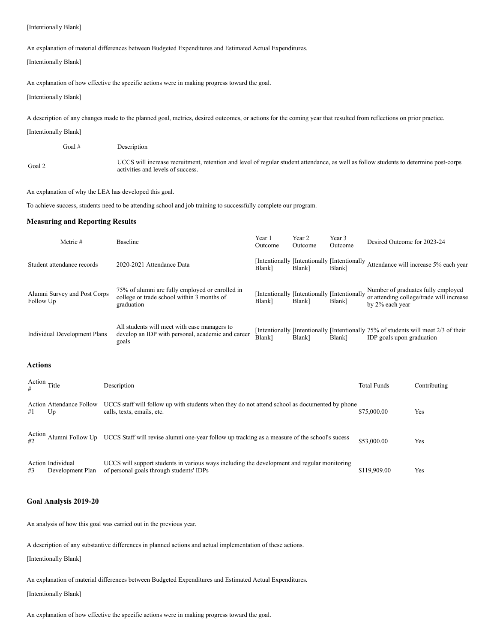#### [Intentionally Blank]

An explanation of material differences between Budgeted Expenditures and Estimated Actual Expenditures.

[Intentionally Blank]

An explanation of how effective the specific actions were in making progress toward the goal.

[Intentionally Blank]

A description of any changes made to the planned goal, metrics, desired outcomes, or actions for the coming year that resulted from reflections on prior practice.

[Intentionally Blank]

Goal # Description

Goal 2 UCCS will increase recruitment, retention and level of regular student attendance, as well as follow students to determine post-corps activities and levels of success.

An explanation of why the LEA has developed this goal.

To achieve success, students need to be attending school and job training to successfully complete our program.

### **Measuring and Reporting Results**

| Metric #                                  | Baseline                                                                                                                           | Year 1<br>Outcome | Year 2<br>Outcome                                      | Year 3<br>Outcome | Desired Outcome for 2023-24 |                                                                                  |
|-------------------------------------------|------------------------------------------------------------------------------------------------------------------------------------|-------------------|--------------------------------------------------------|-------------------|-----------------------------|----------------------------------------------------------------------------------|
| Student attendance records                | 2020-2021 Attendance Data                                                                                                          | Blank]            | [Intentionally [Intentionally [Intentionally<br>Blank] | Blank]            |                             | Attendance will increase 5% each year                                            |
| Alumni Survey and Post Corps<br>Follow Up | 75% of alumni are fully employed or enrolled in<br>college or trade school within 3 months of<br>graduation                        | Blank]            | [Intentionally [Intentionally [Intentionally<br>Blank] | Blank]            | by 2% each year             | Number of graduates fully employed<br>or attending college/trade will increase   |
| Individual Development Plans              | All students will meet with case managers to<br>develop an IDP with personal, academic and career<br>goals                         | Blank]            | Blank]                                                 | Blank]            | IDP goals upon graduation   | Intentionally Intentionally Intentionally 75% of students will meet 2/3 of their |
| Actions                                   |                                                                                                                                    |                   |                                                        |                   |                             |                                                                                  |
| Action Title                              | Description                                                                                                                        |                   |                                                        |                   | <b>Total Funds</b>          | Contributing                                                                     |
| <b>Action Attendance Follow</b>           | UCCS staff will follow up with students when they do not attend school as documented by phone<br>المتفار والمحاورة المتحوظ والمتحر |                   |                                                        |                   | 0750000                     | $\mathbf{V}$ .                                                                   |

| #1           | U <sub>p</sub>                        | calls, texts, emails, etc.                                                                                                              | \$75,000.00  | Yes |
|--------------|---------------------------------------|-----------------------------------------------------------------------------------------------------------------------------------------|--------------|-----|
| Action<br>#2 |                                       | Alumni Follow Up UCCS Staff will revise alumni one-year follow up tracking as a measure of the school's sucess                          | \$53,000.00  | Yes |
| #3           | Action Individual<br>Development Plan | UCCS will support students in various ways including the development and regular monitoring<br>of personal goals through students' IDPs | \$119,909.00 | Yes |

#### **Goal Analysis 2019-20**

An analysis of how this goal was carried out in the previous year.

A description of any substantive differences in planned actions and actual implementation of these actions.

[Intentionally Blank]

An explanation of material differences between Budgeted Expenditures and Estimated Actual Expenditures.

[Intentionally Blank]

An explanation of how effective the specific actions were in making progress toward the goal.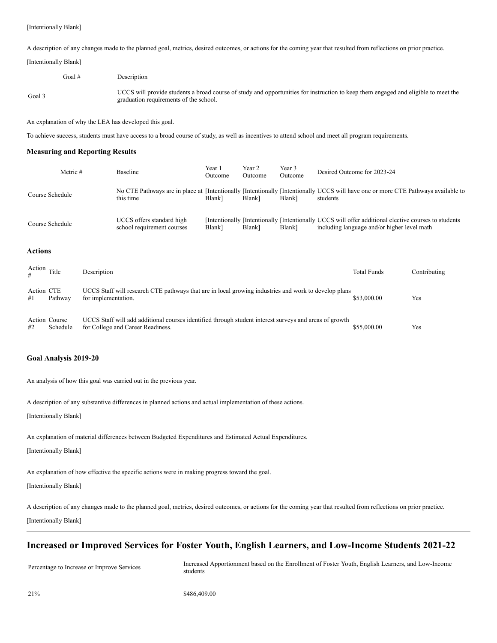A description of any changes made to the planned goal, metrics, desired outcomes, or actions for the coming year that resulted from reflections on prior practice.

[Intentionally Blank]

Goal # Description

Goal 3 UCCS will provide students a broad course of study and opportunities for instruction to keep them engaged and eligible to meet the graduation requirements of the school.

An explanation of why the LEA has developed this goal.

To achieve success, students must have access to a broad course of study, as well as incentives to attend school and meet all program requirements.

#### **Measuring and Reporting Results**

| Metric #        | <b>Baseline</b>                                         | Year 1<br>Outcome  | Year 2<br>Outcome | Year 3<br>Outcome | Desired Outcome for 2023-24                                                                                                                         |
|-----------------|---------------------------------------------------------|--------------------|-------------------|-------------------|-----------------------------------------------------------------------------------------------------------------------------------------------------|
| Course Schedule | this time                                               | Blank <sup>1</sup> | Blank]            | Blank]            | No CTE Pathways are in place at [Intentionally [Intentionally Intentionally UCCS will have one or more CTE Pathways available to<br>students        |
| Course Schedule | UCCS offers standard high<br>school requirement courses | Blank]             | Blank]            | Blank]            | [Intentionally [Intentionally [Intentionally UCCS will offer additional elective courses to students<br>including language and/or higher level math |

#### **Actions**

|                  | Action Title              | Description                                                                                                                                 | <b>Total Funds</b> | Contributing |
|------------------|---------------------------|---------------------------------------------------------------------------------------------------------------------------------------------|--------------------|--------------|
| Action CTE<br>#1 | Pathway                   | UCCS Staff will research CTE pathways that are in local growing industries and work to develop plans<br>for implementation.                 | \$53,000.00        | Yes          |
| #2               | Action Course<br>Schedule | UCCS Staff will add additional courses identified through student interest surveys and areas of growth<br>for College and Career Readiness. | \$55,000.00        | Yes          |

#### **Goal Analysis 2019-20**

An analysis of how this goal was carried out in the previous year.

A description of any substantive differences in planned actions and actual implementation of these actions.

[Intentionally Blank]

An explanation of material differences between Budgeted Expenditures and Estimated Actual Expenditures.

[Intentionally Blank]

An explanation of how effective the specific actions were in making progress toward the goal.

[Intentionally Blank]

A description of any changes made to the planned goal, metrics, desired outcomes, or actions for the coming year that resulted from reflections on prior practice. [Intentionally Blank]

### **Increased or Improved Services for Foster Youth, English Learners, and Low-Income Students 2021-22**

Percentage to Increase or Improve Services Increased Apportionment based on the Enrollment of Foster Youth, English Learners, and Low-Income students

21% \$486,409.00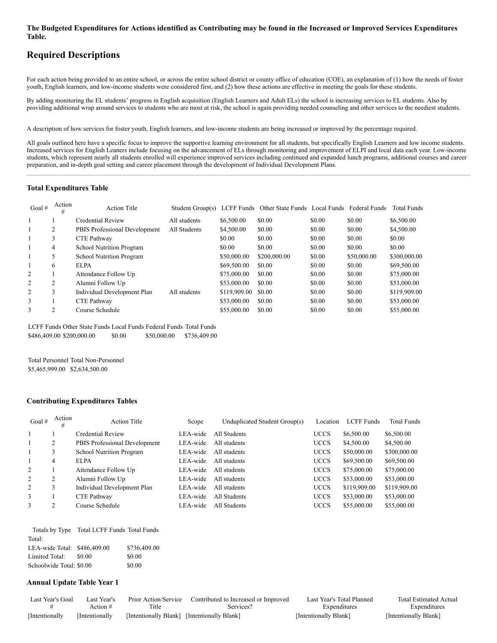#### The Budgeted Expenditures for Actions identified as Contributing may be found in the Increased or Improved Services Expenditures **Table.**

### **Required Descriptions**

For each action being provided to an entire school, or across the entire school district or county office of education (COE), an explanation of (1) how the needs of foster youth, English learners, and low-income students were considered first, and (2) how these actions are effective in meeting the goals for these students.

By adding monitoring the EL students' progress in English acquisition (English Learners and Adult ELs) the school is increasing services to EL students. Also by providing additional wrap around services to students who are most at risk, the school is again providing needed counseling and other services to the neediest students.

A description of how services for foster youth, English learners, and low-income students are being increased or improved by the percentage required.

All goals outlined here have a specific focus to improve the supportive learning environment for all students, but specifically English Learners and low income students. Increased services for English Leaners include focusing on the advancement of ELs through monitoring and improvement of ELPI and local data each year. Low-income students, which represent nearly all students enrolled will experience improved services including continued and expanded lunch programs, additional courses and career preparation, and in-depth goal setting and career placement through the development of Individual Development Plans.

#### **Total Expenditures Table**

| Goal $#$ | Action<br># | <b>Action Title</b>             | Student Group(s) |              | LCFF Funds Other State Funds Local Funds Federal Funds |        |             | <b>Total Funds</b> |
|----------|-------------|---------------------------------|------------------|--------------|--------------------------------------------------------|--------|-------------|--------------------|
|          |             | Credential Review               | All students     | \$6,500.00   | \$0.00                                                 | \$0.00 | \$0.00      | \$6,500.00         |
|          | 2           | PBIS Professional Development   | All Students     | \$4,500.00   | \$0.00                                                 | \$0.00 | \$0.00      | \$4,500.00         |
|          | 3           | CTE Pathway                     |                  | \$0.00       | \$0.00                                                 | \$0.00 | \$0.00      | \$0.00             |
|          | 4           | <b>School Nutrition Program</b> |                  | \$0.00       | \$0.00                                                 | \$0.00 | \$0.00      | \$0.00             |
|          | 5           | <b>School Nutrition Program</b> |                  | \$50,000.00  | \$200,000.00                                           | \$0.00 | \$50,000.00 | \$300,000.00       |
|          | 6           | EL PA                           |                  | \$69,500.00  | \$0.00                                                 | \$0.00 | \$0.00      | \$69,500.00        |
| 2        |             | Attendance Follow Up            |                  | \$75,000.00  | \$0.00                                                 | \$0.00 | \$0.00      | \$75,000.00        |
| 2        | 2           | Alumni Follow Up                |                  | \$53,000.00  | \$0.00                                                 | \$0.00 | \$0.00      | \$53,000.00        |
| 2        | 3           | Individual Development Plan     | All students     | \$119,909.00 | \$0.00                                                 | \$0.00 | \$0.00      | \$119,909.00       |
| 3        |             | CTE Pathway                     |                  | \$53,000.00  | \$0.00                                                 | \$0.00 | \$0.00      | \$53,000.00        |
| 3        | っ           | Course Schedule                 |                  | \$55,000.00  | \$0.00                                                 | \$0.00 | \$0.00      | \$55,000.00        |

LCFF Funds Other State Funds Local Funds Federal Funds Total Funds \$486,409.00 \$200,000.00 \$0.00 \$50,000.00 \$736,409.00

Total Personnel Total Non-Personnel \$5,465,999.00 \$2,634,500.00

#### **Contributing Expenditures Tables**

| Goal $#$ | Action<br># | <b>Action Title</b>             | Scope    | Unduplicated Student Group(s) | Location    | LCFF Funds   | <b>Total Funds</b> |
|----------|-------------|---------------------------------|----------|-------------------------------|-------------|--------------|--------------------|
|          |             | Credential Review               | LEA-wide | All Students                  | <b>UCCS</b> | \$6,500.00   | \$6,500.00         |
|          | 2           | PBIS Professional Development   | LEA-wide | All students                  | <b>UCCS</b> | \$4,500.00   | \$4,500.00         |
|          |             | <b>School Nutrition Program</b> | LEA-wide | All students                  | <b>UCCS</b> | \$50,000.00  | \$300,000.00       |
|          | 4           | <b>ELPA</b>                     | LEA-wide | All students                  | <b>UCCS</b> | \$69,500.00  | \$69,500.00        |
| 2        |             | Attendance Follow Up            | LEA-wide | All students                  | <b>UCCS</b> | \$75,000.00  | \$75,000.00        |
| 2        | 2           | Alumni Follow Up                | LEA-wide | All students                  | <b>UCCS</b> | \$53,000.00  | \$53,000.00        |
| 2        |             | Individual Development Plan     | LEA-wide | All students                  | <b>UCCS</b> | \$119,909.00 | \$119,909.00       |
| 3        |             | CTE Pathway                     | LEA-wide | All Students                  | <b>UCCS</b> | \$53,000.00  | \$53,000.00        |
| 3        |             | Course Schedule                 | LEA-wide | All Students                  | <b>UCCS</b> | \$55,000.00  | \$55,000.00        |

|                              | Totals by Type Total LCFF Funds Total Funds |              |
|------------------------------|---------------------------------------------|--------------|
| Total:                       |                                             |              |
| LEA-wide Total: \$486,409.00 |                                             | \$736,409.00 |
| Limited Total:               | \$0.00                                      | \$0.00       |
| Schoolwide Total: \$0.00     |                                             | \$0.00       |

#### **Annual Update Table Year 1**

| Last Year's Goal | Last Year's     | Prior Action/Service                        | Contributed to Increased or Improved | Last Year's Total Planned | <b>Total Estimated Actual</b> |
|------------------|-----------------|---------------------------------------------|--------------------------------------|---------------------------|-------------------------------|
|                  | Action #        | Title                                       | Services?                            | Expenditures              | Expenditures                  |
| [Intentionally]  | [Intentionally] | [Intentionally Blank] [Intentionally Blank] |                                      | [Intentionally Blank]     | [Intentionally Blank]         |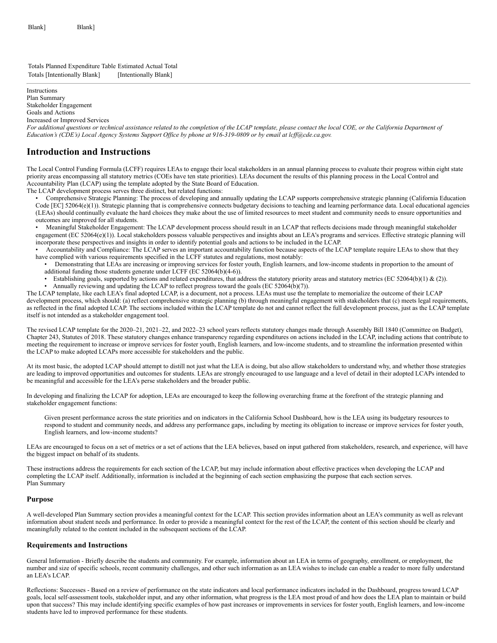Totals Planned Expenditure Table Estimated Actual Total Totals [Intentionally Blank] [Intentionally Blank]

Instructions Plan Summary Stakeholder Engagement

Goals and Actions

Increased or Improved Services

*For additional questions or technical assistance related to the completion of the LCAP template, please contact the local COE, or the California Department of Education's (CDE's) Local Agency Systems Support Office by phone at 916-319-0809 or by email at lcff@cde.ca.gov.*

### **Introduction and Instructions**

The Local Control Funding Formula (LCFF) requires LEAs to engage their local stakeholders in an annual planning process to evaluate their progress within eight state priority areas encompassing all statutory metrics (COEs have ten state priorities). LEAs document the results of this planning process in the Local Control and Accountability Plan (LCAP) using the template adopted by the State Board of Education.

The LCAP development process serves three distinct, but related functions:

• Comprehensive Strategic Planning: The process of developing and annually updating the LCAP supports comprehensive strategic planning (California Education Code [EC] 52064(e)(1)). Strategic planning that is comprehensive connects budgetary decisions to teaching and learning performance data. Local educational agencies (LEAs) should continually evaluate the hard choices they make about the use of limited resources to meet student and community needs to ensure opportunities and outcomes are improved for all students.

• Meaningful Stakeholder Engagement: The LCAP development process should result in an LCAP that reflects decisions made through meaningful stakeholder engagement (EC 52064(e)(1)). Local stakeholders possess valuable perspectives and insights about an LEA's programs and services. Effective strategic planning will incorporate these perspectives and insights in order to identify potential goals and actions to be included in the LCAP.

• Accountability and Compliance: The LCAP serves an important accountability function because aspects of the LCAP template require LEAs to show that they have complied with various requirements specified in the LCFF statutes and regulations, most notably:

• Demonstrating that LEAs are increasing or improving services for foster youth, English learners, and low-income students in proportion to the amount of additional funding those students generate under LCFF (EC 52064(b)(4-6)).

Establishing goals, supported by actions and related expenditures, that address the statutory priority areas and statutory metrics (EC 52064(b)(1) & (2)). • Annually reviewing and updating the LCAP to reflect progress toward the goals (EC 52064(b)(7)).

The LCAP template, like each LEA's final adopted LCAP, is a document, not a process. LEAs must use the template to memorialize the outcome of their LCAP development process, which should: (a) reflect comprehensive strategic planning (b) through meaningful engagement with stakeholders that (c) meets legal requirements, as reflected in the final adopted LCAP. The sections included within the LCAP template do not and cannot reflect the full development process, just as the LCAP template itself is not intended as a stakeholder engagement tool.

The revised LCAP template for the 2020–21, 2021–22, and 2022–23 school years reflects statutory changes made through Assembly Bill 1840 (Committee on Budget), Chapter 243, Statutes of 2018. These statutory changes enhance transparency regarding expenditures on actions included in the LCAP, including actions that contribute to meeting the requirement to increase or improve services for foster youth, English learners, and low-income students, and to streamline the information presented within the LCAP to make adopted LCAPs more accessible for stakeholders and the public.

At its most basic, the adopted LCAP should attempt to distill not just what the LEA is doing, but also allow stakeholders to understand why, and whether those strategies are leading to improved opportunities and outcomes for students. LEAs are strongly encouraged to use language and a level of detail in their adopted LCAPs intended to be meaningful and accessible for the LEA's perse stakeholders and the broader public.

In developing and finalizing the LCAP for adoption, LEAs are encouraged to keep the following overarching frame at the forefront of the strategic planning and stakeholder engagement functions:

Given present performance across the state priorities and on indicators in the California School Dashboard, how is the LEA using its budgetary resources to respond to student and community needs, and address any performance gaps, including by meeting its obligation to increase or improve services for foster youth, English learners, and low-income students?

LEAs are encouraged to focus on a set of metrics or a set of actions that the LEA believes, based on input gathered from stakeholders, research, and experience, will have the biggest impact on behalf of its students.

These instructions address the requirements for each section of the LCAP, but may include information about effective practices when developing the LCAP and completing the LCAP itself. Additionally, information is included at the beginning of each section emphasizing the purpose that each section serves. Plan Summary

#### **Purpose**

A well-developed Plan Summary section provides a meaningful context for the LCAP. This section provides information about an LEA's community as well as relevant information about student needs and performance. In order to provide a meaningful context for the rest of the LCAP, the content of this section should be clearly and meaningfully related to the content included in the subsequent sections of the LCAP.

#### **Requirements and Instructions**

General Information - Briefly describe the students and community. For example, information about an LEA in terms of geography, enrollment, or employment, the number and size of specific schools, recent community challenges, and other such information as an LEA wishes to include can enable a reader to more fully understand an LEA's LCAP.

Reflections: Successes - Based on a review of performance on the state indicators and local performance indicators included in the Dashboard, progress toward LCAP goals, local self-assessment tools, stakeholder input, and any other information, what progress is the LEA most proud of and how does the LEA plan to maintain or build upon that success? This may include identifying specific examples of how past increases or improvements in services for foster youth, English learners, and low-income students have led to improved performance for these students.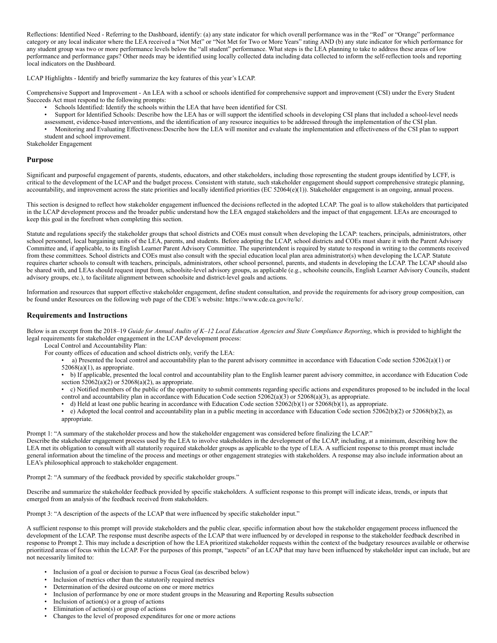Reflections: Identified Need - Referring to the Dashboard, identify: (a) any state indicator for which overall performance was in the "Red" or "Orange" performance category or any local indicator where the LEA received a "Not Met" or "Not Met for Two or More Years" rating AND (b) any state indicator for which performance for any student group was two or more performance levels below the "all student" performance. What steps is the LEA planning to take to address these areas of low performance and performance gaps? Other needs may be identified using locally collected data including data collected to inform the self-reflection tools and reporting local indicators on the Dashboard.

LCAP Highlights - Identify and briefly summarize the key features of this year's LCAP.

Comprehensive Support and Improvement - An LEA with a school or schools identified for comprehensive support and improvement (CSI) under the Every Student Succeeds Act must respond to the following prompts:

- Schools Identified: Identify the schools within the LEA that have been identified for CSI.
- Support for Identified Schools: Describe how the LEA has or will support the identified schools in developing CSI plans that included a school-level needs
- assessment, evidence-based interventions, and the identification of any resource inequities to be addressed through the implementation of the CSI plan.
- Monitoring and Evaluating Effectiveness:Describe how the LEA will monitor and evaluate the implementation and effectiveness of the CSI plan to support student and school improvement.

Stakeholder Engagement

#### **Purpose**

Significant and purposeful engagement of parents, students, educators, and other stakeholders, including those representing the student groups identified by LCFF, is critical to the development of the LCAP and the budget process. Consistent with statute, such stakeholder engagement should support comprehensive strategic planning, accountability, and improvement across the state priorities and locally identified priorities (EC 52064(e)(1)). Stakeholder engagement is an ongoing, annual process.

This section is designed to reflect how stakeholder engagement influenced the decisions reflected in the adopted LCAP. The goal is to allow stakeholders that participated in the LCAP development process and the broader public understand how the LEA engaged stakeholders and the impact of that engagement. LEAs are encouraged to keep this goal in the forefront when completing this section.

Statute and regulations specify the stakeholder groups that school districts and COEs must consult when developing the LCAP: teachers, principals, administrators, other school personnel, local bargaining units of the LEA, parents, and students. Before adopting the LCAP, school districts and COEs must share it with the Parent Advisory Committee and, if applicable, to its English Learner Parent Advisory Committee. The superintendent is required by statute to respond in writing to the comments received from these committees. School districts and COEs must also consult with the special education local plan area administrator(s) when developing the LCAP. Statute requires charter schools to consult with teachers, principals, administrators, other school personnel, parents, and students in developing the LCAP. The LCAP should also be shared with, and LEAs should request input from, schoolsite-level advisory groups, as applicable (e.g., schoolsite councils, English Learner Advisory Councils, student advisory groups, etc.), to facilitate alignment between schoolsite and district-level goals and actions.

Information and resources that support effective stakeholder engagement, define student consultation, and provide the requirements for advisory group composition, can be found under Resources on the following web page of the CDE's website: https://www.cde.ca.gov/re/lc/.

#### **Requirements and Instructions**

Below is an excerpt from the 2018–19 *Guide for Annual Audits of K–12 Local Education Agencies and State Compliance Reporting*, which is provided to highlight the legal requirements for stakeholder engagement in the LCAP development process:

Local Control and Accountability Plan:

For county offices of education and school districts only, verify the LEA:

a) Presented the local control and accountability plan to the parent advisory committee in accordance with Education Code section 52062(a)(1) or  $52068(a)(1)$ , as appropriate.

• b) If applicable, presented the local control and accountability plan to the English learner parent advisory committee, in accordance with Education Code section  $52062(a)(2)$  or  $52068(a)(2)$ , as appropriate.

• c) Notified members of the public of the opportunity to submit comments regarding specific actions and expenditures proposed to be included in the local control and accountability plan in accordance with Education Code section  $52062(a)(3)$  or  $52068(a)(3)$ , as appropriate.

• d) Held at least one public hearing in accordance with Education Code section 52062(b)(1) or 52068(b)(1), as appropriate.

• e) Adopted the local control and accountability plan in a public meeting in accordance with Education Code section 52062(b)(2) or 52068(b)(2), as appropriate.

Prompt 1: "A summary of the stakeholder process and how the stakeholder engagement was considered before finalizing the LCAP."

Describe the stakeholder engagement process used by the LEA to involve stakeholders in the development of the LCAP, including, at a minimum, describing how the LEA met its obligation to consult with all statutorily required stakeholder groups as applicable to the type of LEA. A sufficient response to this prompt must include general information about the timeline of the process and meetings or other engagement strategies with stakeholders. A response may also include information about an LEA's philosophical approach to stakeholder engagement.

Prompt 2: "A summary of the feedback provided by specific stakeholder groups."

Describe and summarize the stakeholder feedback provided by specific stakeholders. A sufficient response to this prompt will indicate ideas, trends, or inputs that emerged from an analysis of the feedback received from stakeholders.

Prompt 3: "A description of the aspects of the LCAP that were influenced by specific stakeholder input."

A sufficient response to this prompt will provide stakeholders and the public clear, specific information about how the stakeholder engagement process influenced the development of the LCAP. The response must describe aspects of the LCAP that were influenced by or developed in response to the stakeholder feedback described in response to Prompt 2. This may include a description of how the LEA prioritized stakeholder requests within the context of the budgetary resources available or otherwise prioritized areas of focus within the LCAP. For the purposes of this prompt, "aspects" of an LCAP that may have been influenced by stakeholder input can include, but are not necessarily limited to:

- Inclusion of a goal or decision to pursue a Focus Goal (as described below)
- Inclusion of metrics other than the statutorily required metrics
- Determination of the desired outcome on one or more metrics
- Inclusion of performance by one or more student groups in the Measuring and Reporting Results subsection
- Inclusion of  $\arctan(s)$  or a group of actions
- Elimination of  $action(s)$  or group of actions
- Changes to the level of proposed expenditures for one or more actions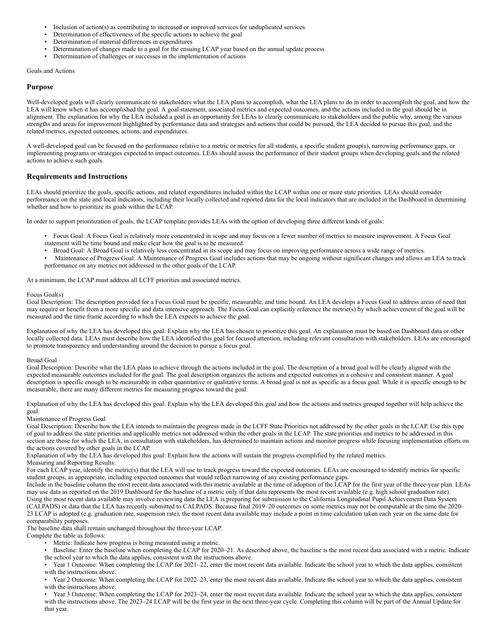- Inclusion of action(s) as contributing to increased or improved services for unduplicated services
- Determination of effectiveness of the specific actions to achieve the goal
- Determination of material differences in expenditures
- Determination of changes made to a goal for the ensuing LCAP year based on the annual update process
- Determination of challenges or successes in the implementation of actions

Goals and Actions

#### **Purpose**

Well-developed goals will clearly communicate to stakeholders what the LEA plans to accomplish, what the LEA plans to do in order to accomplish the goal, and how the LEA will know when it has accomplished the goal. A goal statement, associated metrics and expected outcomes, and the actions included in the goal should be in alignment. The explanation for why the LEA included a goal is an opportunity for LEAs to clearly communicate to stakeholders and the public why, among the various strengths and areas for improvement highlighted by performance data and strategies and actions that could be pursued, the LEA decided to pursue this goal, and the related metrics, expected outcomes, actions, and expenditures.

A well-developed goal can be focused on the performance relative to a metric or metrics for all students, a specific student group(s), narrowing performance gaps, or implementing programs or strategies expected to impact outcomes. LEAs should assess the performance of their student groups when developing goals and the related actions to achieve such goals.

#### **Requirements and Instructions**

LEAs should prioritize the goals, specific actions, and related expenditures included within the LCAP within one or more state priorities. LEAs should consider performance on the state and local indicators, including their locally collected and reported data for the local indicators that are included in the Dashboard in determining whether and how to prioritize its goals within the LCAP.

In order to support prioritization of goals, the LCAP template provides LEAs with the option of developing three different kinds of goals:

- Focus Goal: A Focus Goal is relatively more concentrated in scope and may focus on a fewer number of metrics to measure improvement. A Focus Goal statement will be time bound and make clear how the goal is to be measured.
- Broad Goal: A Broad Goal is relatively less concentrated in its scope and may focus on improving performance across a wide range of metrics.
- Maintenance of Progress Goal: A Maintenance of Progress Goal includes actions that may be ongoing without significant changes and allows an LEA to track performance on any metrics not addressed in the other goals of the LCAP.

At a minimum, the LCAP must address all LCFF priorities and associated metrics.

#### Focus Goal(s)

Goal Description: The description provided for a Focus Goal must be specific, measurable, and time bound. An LEA develops a Focus Goal to address areas of need that may require or benefit from a more specific and data intensive approach. The Focus Goal can explicitly reference the metric(s) by which achievement of the goal will be measured and the time frame according to which the LEA expects to achieve the goal.

Explanation of why the LEA has developed this goal: Explain why the LEA has chosen to prioritize this goal. An explanation must be based on Dashboard data or other locally collected data. LEAs must describe how the LEA identified this goal for focused attention, including relevant consultation with stakeholders. LEAs are encouraged to promote transparency and understanding around the decision to pursue a focus goal.

#### Broad Goal

Goal Description: Describe what the LEA plans to achieve through the actions included in the goal. The description of a broad goal will be clearly aligned with the expected measurable outcomes included for the goal. The goal description organizes the actions and expected outcomes in a cohesive and consistent manner. A goal description is specific enough to be measurable in either quantitative or qualitative terms. A broad goal is not as specific as a focus goal. While it is specific enough to be measurable, there are many different metrics for measuring progress toward the goal.

Explanation of why the LEA has developed this goal: Explain why the LEA developed this goal and how the actions and metrics grouped together will help achieve the goal.

#### Maintenance of Progress Goal

Goal Description: Describe how the LEA intends to maintain the progress made in the LCFF State Priorities not addressed by the other goals in the LCAP. Use this type of goal to address the state priorities and applicable metrics not addressed within the other goals in the LCAP. The state priorities and metrics to be addressed in this section are those for which the LEA, in consultation with stakeholders, has determined to maintain actions and monitor progress while focusing implementation efforts on the actions covered by other goals in the LCAP.

Explanation of why the LEA has developed this goal: Explain how the actions will sustain the progress exemplified by the related metrics.

Measuring and Reporting Results:

For each LCAP year, identify the metric(s) that the LEA will use to track progress toward the expected outcomes. LEAs are encouraged to identify metrics for specific student groups, as appropriate, including expected outcomes that would reflect narrowing of any existing performance gaps.

Include in the baseline column the most recent data associated with this metric available at the time of adoption of the LCAP for the first year of the three-year plan. LEAs may use data as reported on the 2019 Dashboard for the baseline of a metric only if that data represents the most recent available (e.g. high school graduation rate). Using the most recent data available may involve reviewing data the LEA is preparing for submission to the California Longitudinal Pupil Achievement Data System (CALPADS) or data that the LEA has recently submitted to CALPADS. Because final 2019–20 outcomes on some metrics may not be computable at the time the 2020– 23 LCAP is adopted (e.g. graduation rate, suspension rate), the most recent data available may include a point in time calculation taken each year on the same date for comparability purposes.

The baseline data shall remain unchanged throughout the three-year LCAP.

Complete the table as follows:

- Metric: Indicate how progress is being measured using a metric.
- Baseline: Enter the baseline when completing the LCAP for 2020–21. As described above, the baseline is the most recent data associated with a metric. Indicate the school year to which the data applies, consistent with the instructions above.
- Year 1 Outcome: When completing the LCAP for 2021–22, enter the most recent data available. Indicate the school year to which the data applies, consistent with the instructions above.
- Year 2 Outcome: When completing the LCAP for 2022–23, enter the most recent data available. Indicate the school year to which the data applies, consistent with the instructions above.

• Year 3 Outcome: When completing the LCAP for 2023–24, enter the most recent data available. Indicate the school year to which the data applies, consistent with the instructions above. The 2023–24 LCAP will be the first year in the next three-year cycle. Completing this column will be part of the Annual Update for that year.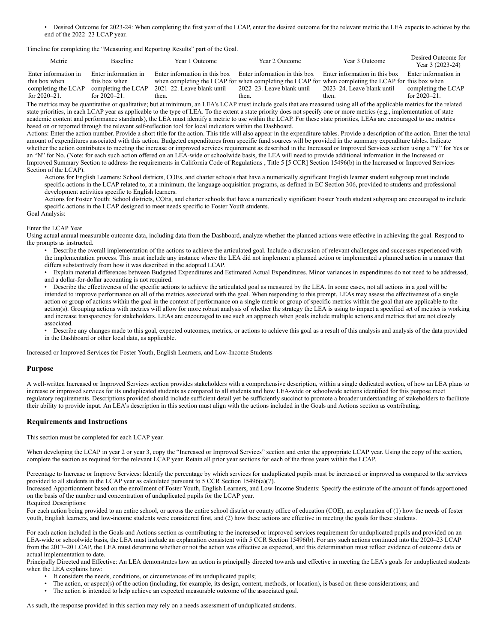• Desired Outcome for 2023-24: When completing the first year of the LCAP, enter the desired outcome for the relevant metric the LEA expects to achieve by the end of the 2022–23 LCAP year.

Timeline for completing the "Measuring and Reporting Results" part of the Goal.

| Metric                                   | <b>Baseline</b>                          | Year 1 Outcome                      | Year 2 Outcome                      | Year 3 Outcome                                                                                                                        | Desired Outcome for<br>Year 3 (2023-24)  |
|------------------------------------------|------------------------------------------|-------------------------------------|-------------------------------------|---------------------------------------------------------------------------------------------------------------------------------------|------------------------------------------|
| Enter information in<br>this box when    | Enter information in<br>this box when    | Enter information in this box       | Enter information in this box       | Enter information in this box<br>when completing the LCAP for when completing the LCAP for when completing the LCAP for this box when | Enter information in                     |
| completing the LCAP<br>for $2020 - 21$ . | completing the LCAP<br>for $2020 - 21$ . | 2021–22. Leave blank until<br>then. | 2022–23. Leave blank until<br>then. | 2023–24. Leave blank until<br>then.                                                                                                   | completing the LCAP<br>for $2020 - 21$ . |

The metrics may be quantitative or qualitative; but at minimum, an LEA's LCAP must include goals that are measured using all of the applicable metrics for the related state priorities, in each LCAP year as applicable to the type of LEA. To the extent a state priority does not specify one or more metrics (e.g., implementation of state academic content and performance standards), the LEA must identify a metric to use within the LCAP. For these state priorities, LEAs are encouraged to use metrics based on or reported through the relevant self-reflection tool for local indicators within the Dashboard.

Actions: Enter the action number. Provide a short title for the action. This title will also appear in the expenditure tables. Provide a description of the action. Enter the total amount of expenditures associated with this action. Budgeted expenditures from specific fund sources will be provided in the summary expenditure tables. Indicate whether the action contributes to meeting the increase or improved services requirement as described in the Increased or Improved Services section using a "Y" for Yes or an "N" for No. (Note: for each such action offered on an LEA-wide or schoolwide basis, the LEA will need to provide additional information in the Increased or Improved Summary Section to address the requirements in California Code of Regulations , Title 5 [5 CCR] Section 15496(b) in the Increased or Improved Services Section of the LCAP).

Actions for English Learners: School districts, COEs, and charter schools that have a numerically significant English learner student subgroup must include specific actions in the LCAP related to, at a minimum, the language acquisition programs, as defined in EC Section 306, provided to students and professional development activities specific to English learners.

Actions for Foster Youth: School districts, COEs, and charter schools that have a numerically significant Foster Youth student subgroup are encouraged to include specific actions in the LCAP designed to meet needs specific to Foster Youth students. Goal Analysis:

## Enter the LCAP Year

Using actual annual measurable outcome data, including data from the Dashboard, analyze whether the planned actions were effective in achieving the goal. Respond to the prompts as instructed.

• Describe the overall implementation of the actions to achieve the articulated goal. Include a discussion of relevant challenges and successes experienced with the implementation process. This must include any instance where the LEA did not implement a planned action or implemented a planned action in a manner that differs substantively from how it was described in the adopted LCAP.

• Explain material differences between Budgeted Expenditures and Estimated Actual Expenditures. Minor variances in expenditures do not need to be addressed, and a dollar-for-dollar accounting is not required.

• Describe the effectiveness of the specific actions to achieve the articulated goal as measured by the LEA. In some cases, not all actions in a goal will be intended to improve performance on all of the metrics associated with the goal. When responding to this prompt, LEAs may assess the effectiveness of a single action or group of actions within the goal in the context of performance on a single metric or group of specific metrics within the goal that are applicable to the action(s). Grouping actions with metrics will allow for more robust analysis of whether the strategy the LEA is using to impact a specified set of metrics is working and increase transparency for stakeholders. LEAs are encouraged to use such an approach when goals include multiple actions and metrics that are not closely associated.

• Describe any changes made to this goal, expected outcomes, metrics, or actions to achieve this goal as a result of this analysis and analysis of the data provided in the Dashboard or other local data, as applicable.

Increased or Improved Services for Foster Youth, English Learners, and Low-Income Students

#### **Purpose**

A well-written Increased or Improved Services section provides stakeholders with a comprehensive description, within a single dedicated section, of how an LEA plans to increase or improved services for its unduplicated students as compared to all students and how LEA-wide or schoolwide actions identified for this purpose meet regulatory requirements. Descriptions provided should include sufficient detail yet be sufficiently succinct to promote a broader understanding of stakeholders to facilitate their ability to provide input. An LEA's description in this section must align with the actions included in the Goals and Actions section as contributing.

#### **Requirements and Instructions**

This section must be completed for each LCAP year.

When developing the LCAP in year 2 or year 3, copy the "Increased or Improved Services" section and enter the appropriate LCAP year. Using the copy of the section, complete the section as required for the relevant LCAP year. Retain all prior year sections for each of the three years within the LCAP.

Percentage to Increase or Improve Services: Identify the percentage by which services for unduplicated pupils must be increased or improved as compared to the services provided to all students in the LCAP year as calculated pursuant to 5 CCR Section 15496(a)(7).

Increased Apportionment based on the enrollment of Foster Youth, English Learners, and Low-Income Students: Specify the estimate of the amount of funds apportioned on the basis of the number and concentration of unduplicated pupils for the LCAP year.

Required Descriptions:

For each action being provided to an entire school, or across the entire school district or county office of education (COE), an explanation of (1) how the needs of foster youth, English learners, and low-income students were considered first, and (2) how these actions are effective in meeting the goals for these students.

For each action included in the Goals and Actions section as contributing to the increased or improved services requirement for unduplicated pupils and provided on an LEA-wide or schoolwide basis, the LEA must include an explanation consistent with 5 CCR Section 15496(b). For any such actions continued into the 2020–23 LCAP from the 2017–20 LCAP, the LEA must determine whether or not the action was effective as expected, and this determination must reflect evidence of outcome data or actual implementation to date.

Principally Directed and Effective: An LEA demonstrates how an action is principally directed towards and effective in meeting the LEA's goals for unduplicated students when the LEA explains how:

- It considers the needs, conditions, or circumstances of its unduplicated pupils;<br>• The action or aspect(s) of the action (including for example, its design, content
- The action, or aspect(s) of the action (including, for example, its design, content, methods, or location), is based on these considerations; and
- The action is intended to help achieve an expected measurable outcome of the associated goal.

As such, the response provided in this section may rely on a needs assessment of unduplicated students.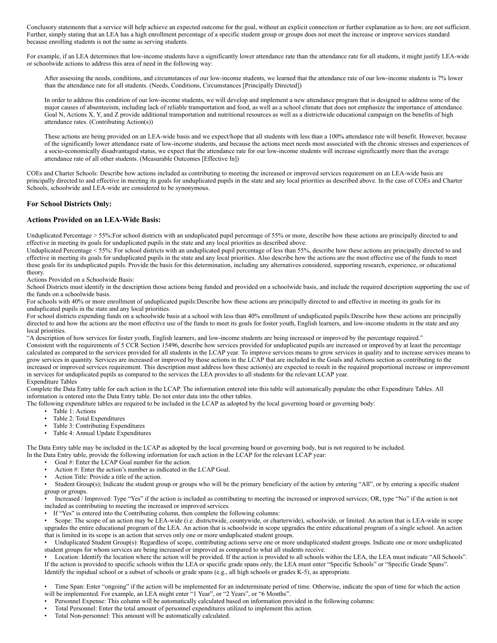Conclusory statements that a service will help achieve an expected outcome for the goal, without an explicit connection or further explanation as to how, are not sufficient. Further, simply stating that an LEA has a high enrollment percentage of a specific student group or groups does not meet the increase or improve services standard because enrolling students is not the same as serving students.

For example, if an LEA determines that low-income students have a significantly lower attendance rate than the attendance rate for all students, it might justify LEA-wide or schoolwide actions to address this area of need in the following way:

After assessing the needs, conditions, and circumstances of our low-income students, we learned that the attendance rate of our low-income students is 7% lower than the attendance rate for all students. (Needs, Conditions, Circumstances [Principally Directed])

In order to address this condition of our low-income students, we will develop and implement a new attendance program that is designed to address some of the major causes of absenteeism, including lack of reliable transportation and food, as well as a school climate that does not emphasize the importance of attendance. Goal N, Actions X, Y, and Z provide additional transportation and nutritional resources as well as a districtwide educational campaign on the benefits of high attendance rates. (Contributing Action(s))

These actions are being provided on an LEA-wide basis and we expect/hope that all students with less than a 100% attendance rate will benefit. However, because of the significantly lower attendance rsate of low-income students, and because the actions meet needs most associated with the chronic stresses and experiences of a socio-economically disadvantaged status, we expect that the attendance rate for our low-income students will increase significantly more than the average attendance rate of all other students. (Measurable Outcomes [Effective In])

COEs and Charter Schools: Describe how actions included as contributing to meeting the increased or improved services requirement on an LEA-wide basis are principally directed to and effective in meeting its goals for unduplicated pupils in the state and any local priorities as described above. In the case of COEs and Charter Schools, schoolwide and LEA-wide are considered to be synonymous.

#### **For School Districts Only:**

#### **Actions Provided on an LEA-Wide Basis:**

Unduplicated Percentage > 55%:For school districts with an unduplicated pupil percentage of 55% or more, describe how these actions are principally directed to and effective in meeting its goals for unduplicated pupils in the state and any local priorities as described above.

Unduplicated Percentage < 55%: For school districts with an unduplicated pupil percentage of less than 55%, describe how these actions are principally directed to and effective in meeting its goals for unduplicated pupils in the state and any local priorities. Also describe how the actions are the most effective use of the funds to meet these goals for its unduplicated pupils. Provide the basis for this determination, including any alternatives considered, supporting research, experience, or educational theory.

Actions Provided on a Schoolwide Basis:

School Districts must identify in the description those actions being funded and provided on a schoolwide basis, and include the required description supporting the use of the funds on a schoolwide basis.

For schools with 40% or more enrollment of unduplicated pupils:Describe how these actions are principally directed to and effective in meeting its goals for its unduplicated pupils in the state and any local priorities.

For school districts expending funds on a schoolwide basis at a school with less than 40% enrollment of unduplicated pupils:Describe how these actions are principally directed to and how the actions are the most effective use of the funds to meet its goals for foster youth, English learners, and low-income students in the state and any local priorities.

"A description of how services for foster youth, English learners, and low-income students are being increased or improved by the percentage required." Consistent with the requirements of 5 CCR Section 15496, describe how services provided for unduplicated pupils are increased or improved by at least the percentage calculated as compared to the services provided for all students in the LCAP year. To improve services means to grow services in quality and to increase services means to grow services in quantity. Services are increased or improved by those actions in the LCAP that are included in the Goals and Actions section as contributing to the

increased or improved services requirement. This description must address how these action(s) are expected to result in the required proportional increase or improvement in services for unduplicated pupils as compared to the services the LEA provides to all students for the relevant LCAP year. Expenditure Tables

#### Complete the Data Entry table for each action in the LCAP. The information entered into this table will automatically populate the other Expenditure Tables. All information is entered into the Data Entry table. Do not enter data into the other tables.

The following expenditure tables are required to be included in the LCAP as adopted by the local governing board or governing body:

- Table 1: Actions
- Table 2: Total Expenditures
- Table 3: Contributing Expenditures
- Table 4: Annual Update Expenditures

The Data Entry table may be included in the LCAP as adopted by the local governing board or governing body, but is not required to be included. In the Data Entry table, provide the following information for each action in the LCAP for the relevant LCAP year:

- Goal #: Enter the LCAP Goal number for the action.
- Action #: Enter the action's number as indicated in the LCAP Goal.
- Action Title: Provide a title of the action.

• Student Group(s); Indicate the student group or groups who will be the primary beneficiary of the action by entering "All", or by entering a specific student group or groups.

• Increased / Improved: Type "Yes" if the action is included as contributing to meeting the increased or improved services; OR, type "No" if the action is not included as contributing to meeting the increased or improved services.

If "Yes" is entered into the Contributing column, then complete the following columns:

• Scope: The scope of an action may be LEA-wide (i.e. districtwide, countywide, or charterwide), schoolwide, or limited. An action that is LEA-wide in scope upgrades the entire educational program of the LEA. An action that is schoolwide in scope upgrades the entire educational program of a single school. An action that is limited in its scope is an action that serves only one or more unduplicated student groups.

• Unduplicated Student Group(s): Regardless of scope, contributing actions serve one or more unduplicated student groups. Indicate one or more unduplicated student groups for whom services are being increased or improved as compared to what all students receive.

• Location: Identify the location where the action will be provided. If the action is provided to all schools within the LEA, the LEA must indicate "All Schools". If the action is provided to specific schools within the LEA or specific grade spans only, the LEA must enter "Specific Schools" or "Specific Grade Spans". Identify the inpidual school or a subset of schools or grade spans (e.g., all high schools or grades K-5), as appropriate.

• Time Span: Enter "ongoing" if the action will be implemented for an indeterminate period of time. Otherwise, indicate the span of time for which the action will be implemented. For example, an LEA might enter "1 Year", or "2 Years", or "6 Months".

- Personnel Expense: This column will be automatically calculated based on information provided in the following columns:
- Total Personnel: Enter the total amount of personnel expenditures utilized to implement this action.
- Total Non-personnel: This amount will be automatically calculated.